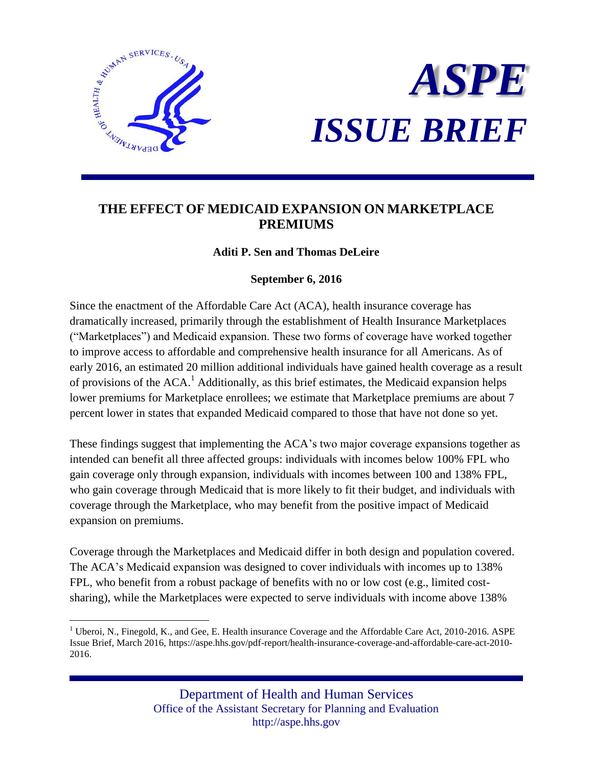

 $\overline{a}$ 



# **THE EFFECT OF MEDICAID EXPANSION ON MARKETPLACE PREMIUMS**

# **Aditi P. Sen and Thomas DeLeire**

# **September 6, 2016**

Since the enactment of the Affordable Care Act (ACA), health insurance coverage has dramatically increased, primarily through the establishment of Health Insurance Marketplaces ("Marketplaces") and Medicaid expansion. These two forms of coverage have worked together to improve access to affordable and comprehensive health insurance for all Americans. As of early 2016, an estimated 20 million additional individuals have gained health coverage as a result of provisions of the  $ACA$ .<sup>1</sup> Additionally, as this brief estimates, the Medicaid expansion helps lower premiums for Marketplace enrollees; we estimate that Marketplace premiums are about 7 percent lower in states that expanded Medicaid compared to those that have not done so yet.

These findings suggest that implementing the ACA's two major coverage expansions together as intended can benefit all three affected groups: individuals with incomes below 100% FPL who gain coverage only through expansion, individuals with incomes between 100 and 138% FPL, who gain coverage through Medicaid that is more likely to fit their budget, and individuals with coverage through the Marketplace, who may benefit from the positive impact of Medicaid expansion on premiums.

Coverage through the Marketplaces and Medicaid differ in both design and population covered. The ACA's Medicaid expansion was designed to cover individuals with incomes up to 138% FPL, who benefit from a robust package of benefits with no or low cost (e.g., limited costsharing), while the Marketplaces were expected to serve individuals with income above 138%

<sup>&</sup>lt;sup>1</sup> Uberoi, N., Finegold, K., and Gee, E. Health insurance Coverage and the Affordable Care Act, 2010-2016. ASPE Issue Brief, March 2016, https://aspe.hhs.gov/pdf-report/health-insurance-coverage-and-affordable-care-act-2010- 2016.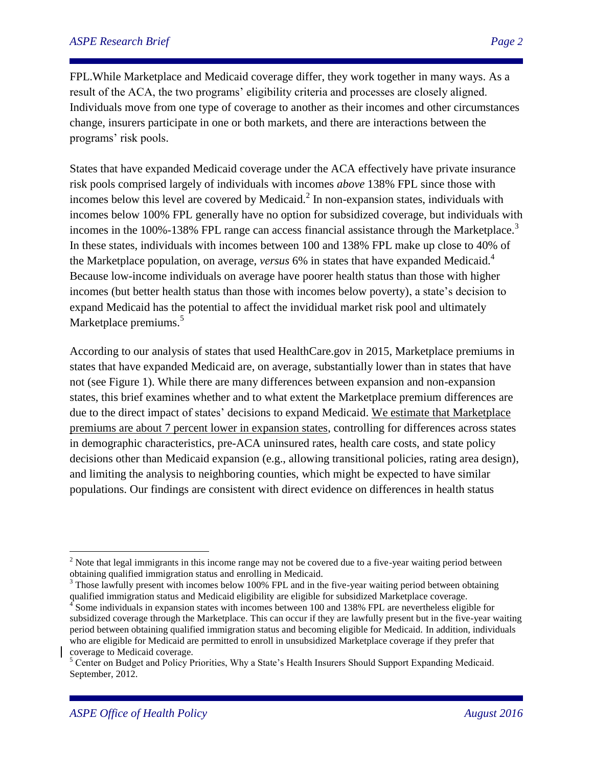FPL.While Marketplace and Medicaid coverage differ, they work together in many ways. As a result of the ACA, the two programs' eligibility criteria and processes are closely aligned. Individuals move from one type of coverage to another as their incomes and other circumstances change, insurers participate in one or both markets, and there are interactions between the programs' risk pools.

States that have expanded Medicaid coverage under the ACA effectively have private insurance risk pools comprised largely of individuals with incomes *above* 138% FPL since those with incomes below this level are covered by Medicaid.<sup>2</sup> In non-expansion states, individuals with incomes below 100% FPL generally have no option for subsidized coverage, but individuals with incomes in the  $100\%$ -138% FPL range can access financial assistance through the Marketplace.<sup>3</sup> In these states, individuals with incomes between 100 and 138% FPL make up close to 40% of the Marketplace population, on average, *versus* 6% in states that have expanded Medicaid.<sup>4</sup> Because low-income individuals on average have poorer health status than those with higher incomes (but better health status than those with incomes below poverty), a state's decision to expand Medicaid has the potential to affect the invididual market risk pool and ultimately Marketplace premiums.<sup>5</sup>

According to our analysis of states that used HealthCare.gov in 2015, Marketplace premiums in states that have expanded Medicaid are, on average, substantially lower than in states that have not (see Figure 1). While there are many differences between expansion and non-expansion states, this brief examines whether and to what extent the Marketplace premium differences are due to the direct impact of states' decisions to expand Medicaid. We estimate that Marketplace premiums are about 7 percent lower in expansion states, controlling for differences across states in demographic characteristics, pre-ACA uninsured rates, health care costs, and state policy decisions other than Medicaid expansion (e.g., allowing transitional policies, rating area design), and limiting the analysis to neighboring counties, which might be expected to have similar populations. Our findings are consistent with direct evidence on differences in health status

<sup>&</sup>lt;sup>2</sup> Note that legal immigrants in this income range may not be covered due to a five-year waiting period between obtaining qualified immigration status and enrolling in Medicaid.

 $3$  Those lawfully present with incomes below 100% FPL and in the five-year waiting period between obtaining qualified immigration status and Medicaid eligibility are eligible for subsidized Marketplace coverage.

<sup>&</sup>lt;sup>4</sup> Some individuals in expansion states with incomes between 100 and 138% FPL are nevertheless eligible for subsidized coverage through the Marketplace. This can occur if they are lawfully present but in the five-year waiting period between obtaining qualified immigration status and becoming eligible for Medicaid. In addition, individuals who are eligible for Medicaid are permitted to enroll in unsubsidized Marketplace coverage if they prefer that coverage to Medicaid coverage.

 $<sup>5</sup>$  Center on Budget and Policy Priorities, Why a State's Health Insurers Should Support Expanding Medicaid.</sup> September, 2012.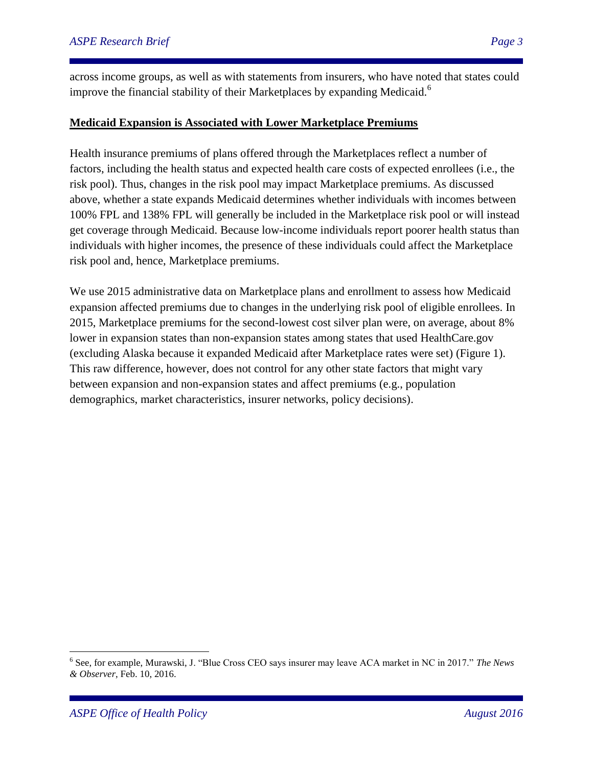across income groups, as well as with statements from insurers, who have noted that states could improve the financial stability of their Marketplaces by expanding Medicaid.<sup>6</sup>

# **Medicaid Expansion is Associated with Lower Marketplace Premiums**

Health insurance premiums of plans offered through the Marketplaces reflect a number of factors, including the health status and expected health care costs of expected enrollees (i.e., the risk pool). Thus, changes in the risk pool may impact Marketplace premiums. As discussed above, whether a state expands Medicaid determines whether individuals with incomes between 100% FPL and 138% FPL will generally be included in the Marketplace risk pool or will instead get coverage through Medicaid. Because low-income individuals report poorer health status than individuals with higher incomes, the presence of these individuals could affect the Marketplace risk pool and, hence, Marketplace premiums.

We use 2015 administrative data on Marketplace plans and enrollment to assess how Medicaid expansion affected premiums due to changes in the underlying risk pool of eligible enrollees. In 2015, Marketplace premiums for the second-lowest cost silver plan were, on average, about 8% lower in expansion states than non-expansion states among states that used HealthCare.gov (excluding Alaska because it expanded Medicaid after Marketplace rates were set) (Figure 1). This raw difference, however, does not control for any other state factors that might vary between expansion and non-expansion states and affect premiums (e.g., population demographics, market characteristics, insurer networks, policy decisions).

<sup>6</sup> See, for example, Murawski, J. "Blue Cross CEO says insurer may leave ACA market in NC in 2017." *The News & Observer*, Feb. 10, 2016.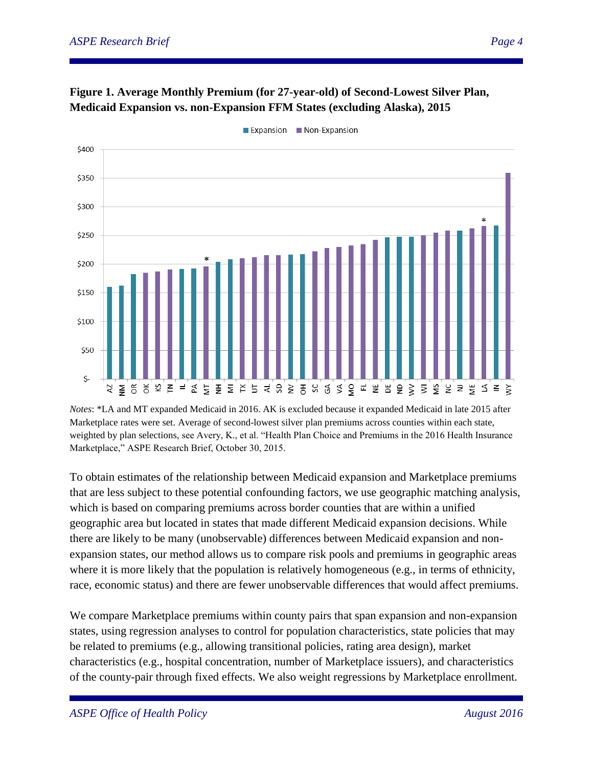



Expansion Non-Expansion

*Notes*: \*LA and MT expanded Medicaid in 2016. AK is excluded because it expanded Medicaid in late 2015 after Marketplace rates were set. Average of second-lowest silver plan premiums across counties within each state, weighted by plan selections, see Avery, K., et al. "Health Plan Choice and Premiums in the 2016 Health Insurance Marketplace," ASPE Research Brief, October 30, 2015.

To obtain estimates of the relationship between Medicaid expansion and Marketplace premiums that are less subject to these potential confounding factors, we use geographic matching analysis, which is based on comparing premiums across border counties that are within a unified geographic area but located in states that made different Medicaid expansion decisions. While there are likely to be many (unobservable) differences between Medicaid expansion and nonexpansion states, our method allows us to compare risk pools and premiums in geographic areas where it is more likely that the population is relatively homogeneous (e.g., in terms of ethnicity, race, economic status) and there are fewer unobservable differences that would affect premiums.

We compare Marketplace premiums within county pairs that span expansion and non-expansion states, using regression analyses to control for population characteristics, state policies that may be related to premiums (e.g., allowing transitional policies, rating area design), market characteristics (e.g., hospital concentration, number of Marketplace issuers), and characteristics of the county-pair through fixed effects. We also weight regressions by Marketplace enrollment.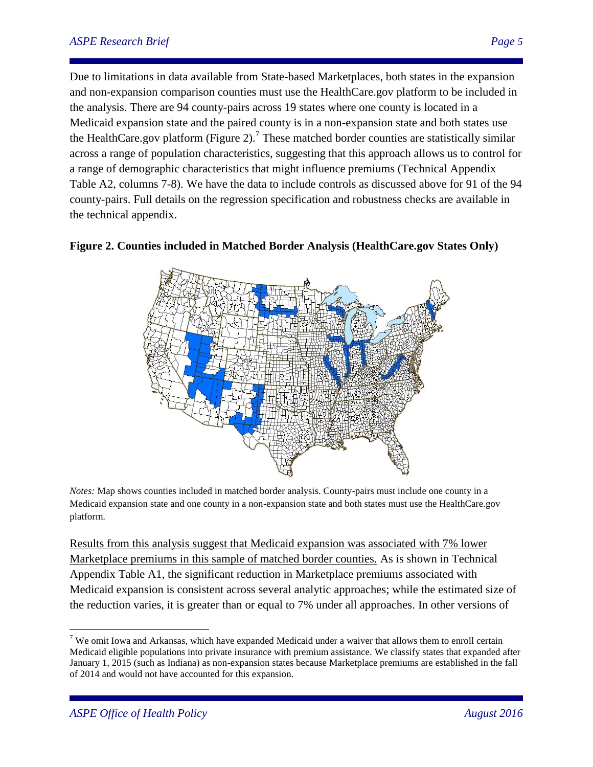### *ASPE Research Brief Page 5*

Due to limitations in data available from State-based Marketplaces, both states in the expansion and non-expansion comparison counties must use the HealthCare.gov platform to be included in the analysis. There are 94 county-pairs across 19 states where one county is located in a Medicaid expansion state and the paired county is in a non-expansion state and both states use the HealthCare.gov platform (Figure 2).<sup>7</sup> These matched border counties are statistically similar across a range of population characteristics, suggesting that this approach allows us to control for a range of demographic characteristics that might influence premiums (Technical Appendix Table A2, columns 7-8). We have the data to include controls as discussed above for 91 of the 94 county-pairs. Full details on the regression specification and robustness checks are available in the technical appendix.





*Notes:* Map shows counties included in matched border analysis. County-pairs must include one county in a Medicaid expansion state and one county in a non-expansion state and both states must use the HealthCare.gov platform.

Results from this analysis suggest that Medicaid expansion was associated with 7% lower Marketplace premiums in this sample of matched border counties. As is shown in Technical Appendix Table A1, the significant reduction in Marketplace premiums associated with Medicaid expansion is consistent across several analytic approaches; while the estimated size of the reduction varies, it is greater than or equal to 7% under all approaches. In other versions of

 $7$  We omit Iowa and Arkansas, which have expanded Medicaid under a waiver that allows them to enroll certain Medicaid eligible populations into private insurance with premium assistance. We classify states that expanded after January 1, 2015 (such as Indiana) as non-expansion states because Marketplace premiums are established in the fall of 2014 and would not have accounted for this expansion.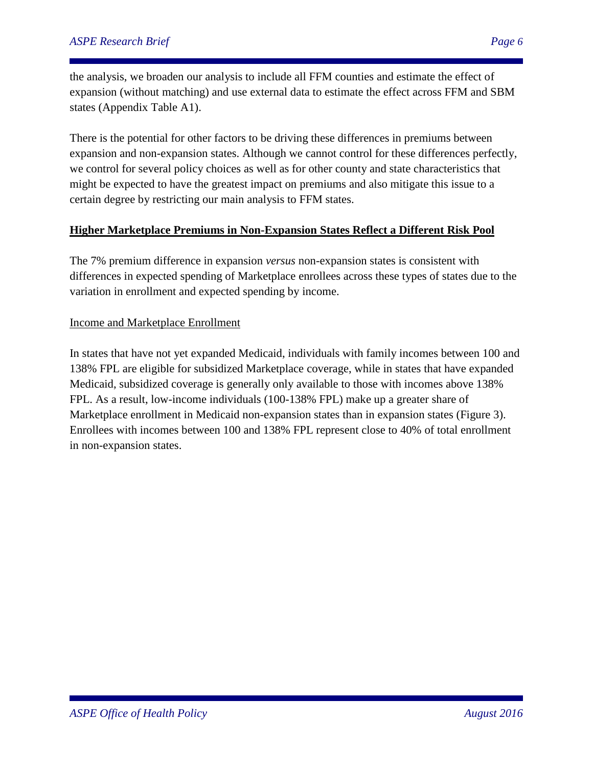the analysis, we broaden our analysis to include all FFM counties and estimate the effect of expansion (without matching) and use external data to estimate the effect across FFM and SBM states (Appendix Table A1).

There is the potential for other factors to be driving these differences in premiums between expansion and non-expansion states. Although we cannot control for these differences perfectly, we control for several policy choices as well as for other county and state characteristics that might be expected to have the greatest impact on premiums and also mitigate this issue to a certain degree by restricting our main analysis to FFM states.

### **Higher Marketplace Premiums in Non-Expansion States Reflect a Different Risk Pool**

The 7% premium difference in expansion *versus* non-expansion states is consistent with differences in expected spending of Marketplace enrollees across these types of states due to the variation in enrollment and expected spending by income.

### Income and Marketplace Enrollment

In states that have not yet expanded Medicaid, individuals with family incomes between 100 and 138% FPL are eligible for subsidized Marketplace coverage, while in states that have expanded Medicaid, subsidized coverage is generally only available to those with incomes above 138% FPL. As a result, low-income individuals (100-138% FPL) make up a greater share of Marketplace enrollment in Medicaid non-expansion states than in expansion states (Figure 3). Enrollees with incomes between 100 and 138% FPL represent close to 40% of total enrollment in non-expansion states.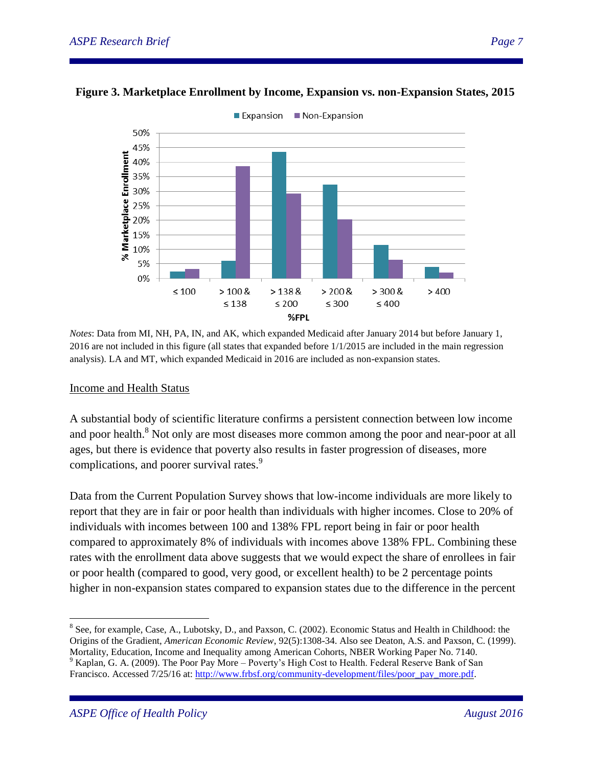



*Notes*: Data from MI, NH, PA, IN, and AK, which expanded Medicaid after January 2014 but before January 1, 2016 are not included in this figure (all states that expanded before 1/1/2015 are included in the main regression analysis). LA and MT, which expanded Medicaid in 2016 are included as non-expansion states.

#### Income and Health Status

A substantial body of scientific literature confirms a persistent connection between low income and poor health.<sup>8</sup> Not only are most diseases more common among the poor and near-poor at all ages, but there is evidence that poverty also results in faster progression of diseases, more complications, and poorer survival rates.<sup>9</sup>

Data from the Current Population Survey shows that low-income individuals are more likely to report that they are in fair or poor health than individuals with higher incomes. Close to 20% of individuals with incomes between 100 and 138% FPL report being in fair or poor health compared to approximately 8% of individuals with incomes above 138% FPL. Combining these rates with the enrollment data above suggests that we would expect the share of enrollees in fair or poor health (compared to good, very good, or excellent health) to be 2 percentage points higher in non-expansion states compared to expansion states due to the difference in the percent

<sup>&</sup>lt;sup>8</sup> See, for example, Case, A., Lubotsky, D., and Paxson, C. (2002). Economic Status and Health in Childhood: the Origins of the Gradient, *American Economic Review*, 92(5):1308-34. Also see Deaton, A.S. and Paxson, C. (1999).

Mortality, Education, Income and Inequality among American Cohorts, NBER Working Paper No. 7140. <sup>9</sup> Kaplan, G. A. (2009). The Poor Pay More – Poverty's High Cost to Health. Federal Reserve Bank of San

Francisco. Accessed 7/25/16 at[: http://www.frbsf.org/community-development/files/poor\\_pay\\_more.pdf.](http://www.frbsf.org/community-development/files/poor_pay_more.pdf)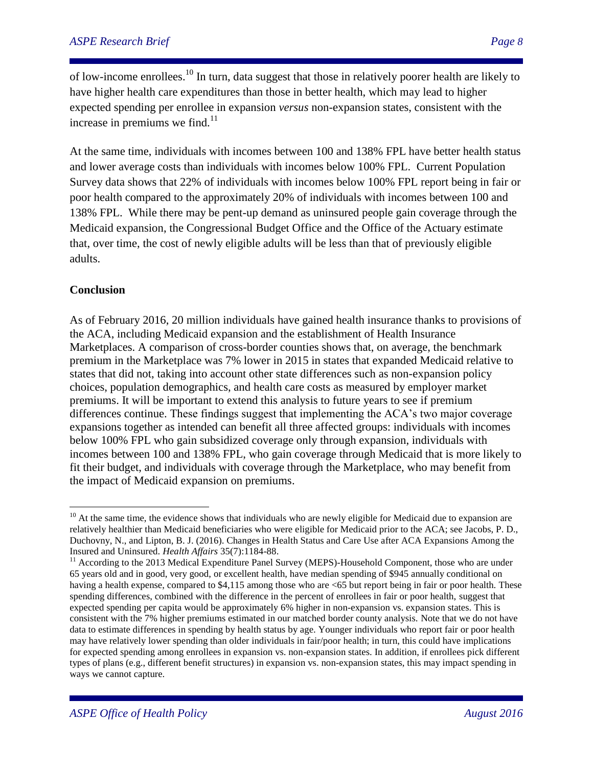of low-income enrollees.<sup>10</sup> In turn, data suggest that those in relatively poorer health are likely to have higher health care expenditures than those in better health, which may lead to higher expected spending per enrollee in expansion *versus* non-expansion states, consistent with the increase in premiums we find. $11$ 

At the same time, individuals with incomes between 100 and 138% FPL have better health status and lower average costs than individuals with incomes below 100% FPL. Current Population Survey data shows that 22% of individuals with incomes below 100% FPL report being in fair or poor health compared to the approximately 20% of individuals with incomes between 100 and 138% FPL. While there may be pent-up demand as uninsured people gain coverage through the Medicaid expansion, the Congressional Budget Office and the Office of the Actuary estimate that, over time, the cost of newly eligible adults will be less than that of previously eligible adults.

### **Conclusion**

 $\overline{a}$ 

As of February 2016, 20 million individuals have gained health insurance thanks to provisions of the ACA, including Medicaid expansion and the establishment of Health Insurance Marketplaces. A comparison of cross-border counties shows that, on average, the benchmark premium in the Marketplace was 7% lower in 2015 in states that expanded Medicaid relative to states that did not, taking into account other state differences such as non-expansion policy choices, population demographics, and health care costs as measured by employer market premiums. It will be important to extend this analysis to future years to see if premium differences continue. These findings suggest that implementing the ACA's two major coverage expansions together as intended can benefit all three affected groups: individuals with incomes below 100% FPL who gain subsidized coverage only through expansion, individuals with incomes between 100 and 138% FPL, who gain coverage through Medicaid that is more likely to fit their budget, and individuals with coverage through the Marketplace, who may benefit from the impact of Medicaid expansion on premiums.

 $10<sup>10</sup>$  At the same time, the evidence shows that individuals who are newly eligible for Medicaid due to expansion are relatively healthier than Medicaid beneficiaries who were eligible for Medicaid prior to the ACA; see Jacobs, P. D., Duchovny, N., and Lipton, B. J. (2016). Changes in Health Status and Care Use after ACA Expansions Among the Insured and Uninsured. *Health Affairs* 35(7):1184-88.

<sup>&</sup>lt;sup>11</sup> According to the 2013 Medical Expenditure Panel Survey (MEPS)-Household Component, those who are under 65 years old and in good, very good, or excellent health, have median spending of \$945 annually conditional on having a health expense, compared to \$4,115 among those who are <65 but report being in fair or poor health. These spending differences, combined with the difference in the percent of enrollees in fair or poor health, suggest that expected spending per capita would be approximately 6% higher in non-expansion vs. expansion states. This is consistent with the 7% higher premiums estimated in our matched border county analysis. Note that we do not have data to estimate differences in spending by health status by age. Younger individuals who report fair or poor health may have relatively lower spending than older individuals in fair/poor health; in turn, this could have implications for expected spending among enrollees in expansion vs. non-expansion states. In addition, if enrollees pick different types of plans (e.g., different benefit structures) in expansion vs. non-expansion states, this may impact spending in ways we cannot capture.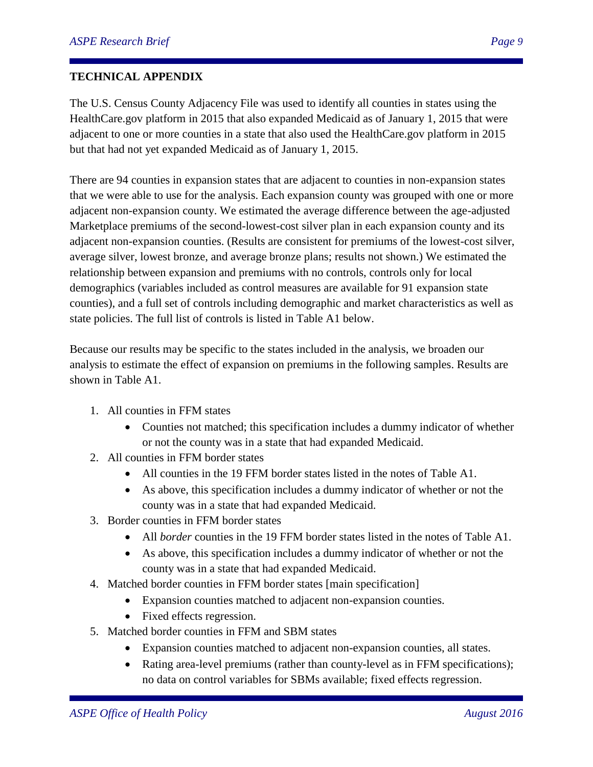## **TECHNICAL APPENDIX**

The U.S. Census County Adjacency File was used to identify all counties in states using the HealthCare.gov platform in 2015 that also expanded Medicaid as of January 1, 2015 that were adjacent to one or more counties in a state that also used the HealthCare.gov platform in 2015 but that had not yet expanded Medicaid as of January 1, 2015.

There are 94 counties in expansion states that are adjacent to counties in non-expansion states that we were able to use for the analysis. Each expansion county was grouped with one or more adjacent non-expansion county. We estimated the average difference between the age-adjusted Marketplace premiums of the second-lowest-cost silver plan in each expansion county and its adjacent non-expansion counties. (Results are consistent for premiums of the lowest-cost silver, average silver, lowest bronze, and average bronze plans; results not shown.) We estimated the relationship between expansion and premiums with no controls, controls only for local demographics (variables included as control measures are available for 91 expansion state counties), and a full set of controls including demographic and market characteristics as well as state policies. The full list of controls is listed in Table A1 below.

Because our results may be specific to the states included in the analysis, we broaden our analysis to estimate the effect of expansion on premiums in the following samples. Results are shown in Table A1.

- 1. All counties in FFM states
	- Counties not matched; this specification includes a dummy indicator of whether or not the county was in a state that had expanded Medicaid.
- 2. All counties in FFM border states
	- All counties in the 19 FFM border states listed in the notes of Table A1.
	- As above, this specification includes a dummy indicator of whether or not the county was in a state that had expanded Medicaid.
- 3. Border counties in FFM border states
	- All *border* counties in the 19 FFM border states listed in the notes of Table A1.
	- As above, this specification includes a dummy indicator of whether or not the county was in a state that had expanded Medicaid.
- 4. Matched border counties in FFM border states [main specification]
	- Expansion counties matched to adjacent non-expansion counties.
	- Fixed effects regression.
- 5. Matched border counties in FFM and SBM states
	- Expansion counties matched to adjacent non-expansion counties, all states.
	- Rating area-level premiums (rather than county-level as in FFM specifications); no data on control variables for SBMs available; fixed effects regression.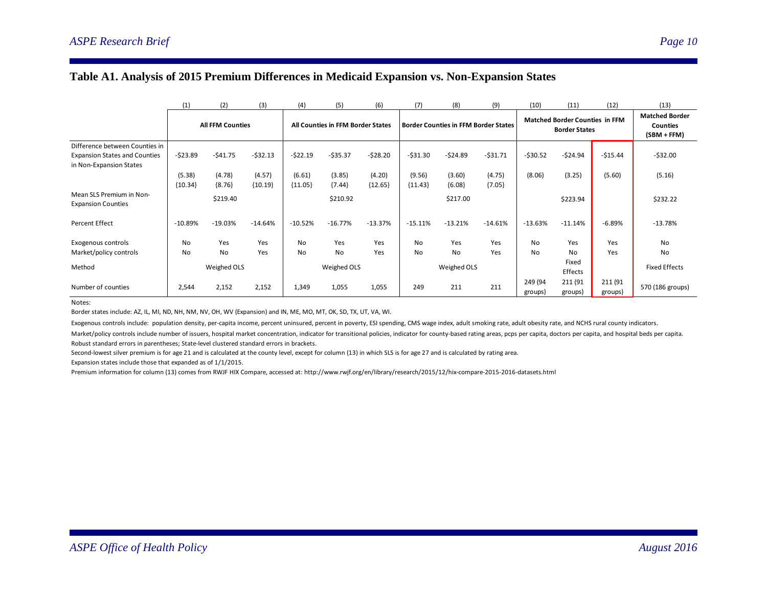### **Table A1. Analysis of 2015 Premium Differences in Medicaid Expansion vs. Non-Expansion States**

|                                                       | (1)         | (2)                     | (3)       | (4)                               | (5)       | (6)       | (7)         | (8)       | (9)                                         | (10)               | (11)                                                          | (12)                                                    | (13)                 |
|-------------------------------------------------------|-------------|-------------------------|-----------|-----------------------------------|-----------|-----------|-------------|-----------|---------------------------------------------|--------------------|---------------------------------------------------------------|---------------------------------------------------------|----------------------|
|                                                       |             | <b>All FFM Counties</b> |           | All Counties in FFM Border States |           |           |             |           | <b>Border Counties in FFM Border States</b> |                    | <b>Matched Border Counties in FFM</b><br><b>Border States</b> | <b>Matched Border</b><br><b>Counties</b><br>(SBM + FFM) |                      |
| Difference between Counties in                        |             |                         |           |                                   |           |           |             |           |                                             |                    |                                                               |                                                         |                      |
| <b>Expansion States and Counties</b>                  | $-523.89$   | $-541.75$               | $-532.13$ | $-522.19$                         | $-535.37$ | $-528.20$ | $-531.30$   | $-524.89$ | $-531.71$                                   | $-530.52$          | $-524.94$                                                     | $-515.44$                                               | $-532.00$            |
| in Non-Expansion States                               |             |                         |           |                                   |           |           |             |           |                                             |                    |                                                               |                                                         |                      |
|                                                       | (5.38)      | (4.78)                  | (4.57)    | (6.61)                            | (3.85)    | (4.20)    | (9.56)      | (3.60)    | (4.75)                                      | (8.06)             | (3.25)                                                        | (5.60)                                                  | (5.16)               |
|                                                       | ${10.34}$   | ${8.76}$                | ${10.19}$ | ${11.05}$                         | ${7.44}$  | ${12.65}$ | ${11.43}$   | ${6.08}$  | ${7.05}$                                    |                    |                                                               |                                                         |                      |
| Mean SLS Premium in Non-<br><b>Expansion Counties</b> |             | \$219.40                |           |                                   | \$210.92  |           |             | \$217.00  |                                             |                    | \$223.94                                                      |                                                         | \$232.22             |
| <b>Percent Effect</b>                                 | $-10.89%$   | $-19.03%$               | $-14.64%$ | $-10.52%$                         | $-16.77%$ | $-13.37%$ | $-15.11%$   | $-13.21%$ | $-14.61%$                                   | $-13.63%$          | $-11.14%$                                                     | $-6.89%$                                                | $-13.78%$            |
| Exogenous controls                                    | <b>No</b>   | Yes                     | Yes       | No                                | Yes       | Yes       | No          | Yes       | Yes                                         | No                 | Yes                                                           | Yes                                                     | N <sub>0</sub>       |
| Market/policy controls                                | No          | No                      | Yes       | No                                | No        | Yes       | No          | No        | Yes                                         | No                 | No                                                            | Yes                                                     | <b>No</b>            |
| Method                                                | Weighed OLS |                         |           | Weighed OLS                       |           |           | Weighed OLS |           |                                             | Fixed<br>Effects   |                                                               |                                                         | <b>Fixed Effects</b> |
| Number of counties                                    | 2,544       | 2,152                   | 2,152     | 1,349                             | 1,055     | 1,055     | 249         | 211       | 211                                         | 249 (94<br>groups) | 211 (91<br>groups)                                            | 211 (91<br>groups)                                      | 570 (186 groups)     |

Notes:

Border states include: AZ, IL, MI, ND, NH, NM, NV, OH, WV (Expansion) and IN, ME, MO, MT, OK, SD, TX, UT, VA, WI.

Exogenous controls include: population density, per-capita income, percent uninsured, percent in poverty, ESI spending, CMS wage index, adult smoking rate, adult obesity rate, and NCHS rural county indicators.

Market/policy controls include number of issuers, hospital market concentration, indicator for transitional policies, indicator for county-based rating areas, pcps per capita, doctors per capita, and hospital beds per capi Robust standard errors in parentheses; State-level clustered standard errors in brackets.

Second-lowest silver premium is for age 21 and is calculated at the county level, except for column (13) in which SLS is for age 27 and is calculated by rating area.

Expansion states include those that expanded as of 1/1/2015.

Premium information for column (13) comes from RWJF HIX Compare, accessed at: http://www.rwjf.org/en/library/research/2015/12/hix-compare-2015-2016-datasets.html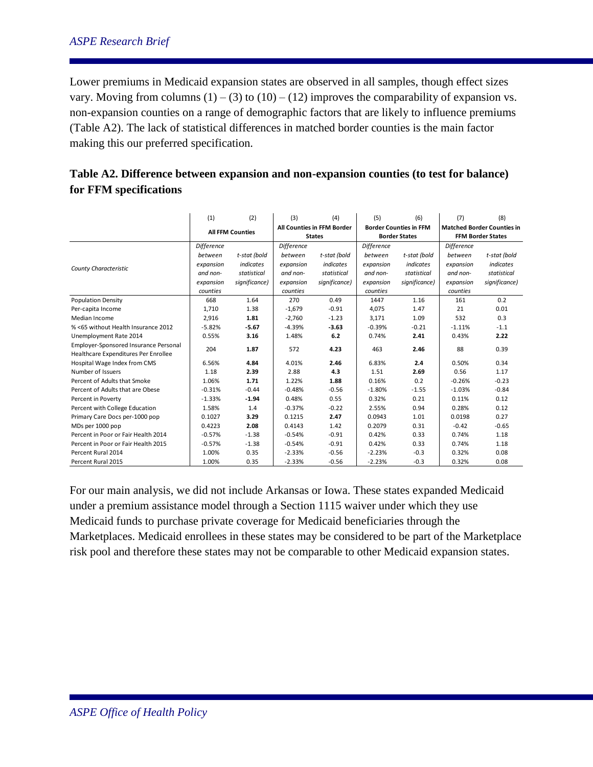# *ASPE Research Brief Page 11*

Lower premiums in Medicaid expansion states are observed in all samples, though effect sizes vary. Moving from columns  $(1) - (3)$  to  $(10) - (12)$  improves the comparability of expansion vs. non-expansion counties on a range of demographic factors that are likely to influence premiums (Table A2). The lack of statistical differences in matched border counties is the main factor making this our preferred specification.

|                                       | (1)               | (2)                     | (3)               | (4)                        | (5)               | (6)                           | (7)               | (8)                               |
|---------------------------------------|-------------------|-------------------------|-------------------|----------------------------|-------------------|-------------------------------|-------------------|-----------------------------------|
|                                       |                   | <b>All FFM Counties</b> |                   | All Counties in FFM Border |                   | <b>Border Counties in FFM</b> |                   | <b>Matched Border Counties in</b> |
|                                       |                   |                         |                   | <b>States</b>              |                   | <b>Border States</b>          |                   | <b>FFM Border States</b>          |
|                                       | <b>Difference</b> |                         | <b>Difference</b> |                            | <b>Difference</b> |                               | <b>Difference</b> |                                   |
|                                       | between           | t-stat (bold            | between           | t-stat (bold               | between           | t-stat (bold                  | between           | t-stat (bold                      |
| County Characteristic                 | expansion         | indicates               | expansion         | indicates                  | expansion         | indicates                     | expansion         | indicates                         |
|                                       | and non-          | statistical             | and non-          | statistical                | and non-          | statistical                   | and non-          | statistical                       |
|                                       | expansion         | significance)           | expansion         | significance)              | expansion         | significance)                 | expansion         | significance)                     |
|                                       | counties          |                         | counties          |                            | counties          |                               | counties          |                                   |
| <b>Population Density</b>             | 668               | 1.64                    | 270               | 0.49                       | 1447              | 1.16                          | 161               | 0.2                               |
| Per-capita Income                     | 1,710             | 1.38                    | $-1,679$          | $-0.91$                    | 4,075             | 1.47                          | 21                | 0.01                              |
| Median Income                         | 2.916             | 1.81                    | $-2.760$          | $-1.23$                    | 3,171             | 1.09                          | 532               | 0.3                               |
| % <65 without Health Insurance 2012   | $-5.82%$          | $-5.67$                 | $-4.39%$          | $-3.63$                    | $-0.39%$          | $-0.21$                       | $-1.11%$          | $-1.1$                            |
| Unemployment Rate 2014                | 0.55%             | 3.16                    | 1.48%             | 6.2                        | 0.74%             | 2.41                          | 0.43%             | 2.22                              |
| Employer-Sponsored Insurance Personal | 204               | 1.87                    | 572               | 4.23                       | 463               | 2.46                          | 88                | 0.39                              |
| Healthcare Expenditures Per Enrollee  |                   |                         |                   |                            |                   |                               |                   |                                   |
| Hospital Wage Index from CMS          | 6.56%             | 4.84                    | 4.01%             | 2.46                       | 6.83%             | 2.4                           | 0.50%             | 0.34                              |
| Number of Issuers                     | 1.18              | 2.39                    | 2.88              | 4.3                        | 1.51              | 2.69                          | 0.56              | 1.17                              |
| Percent of Adults that Smoke          | 1.06%             | 1.71                    | 1.22%             | 1.88                       | 0.16%             | 0.2                           | $-0.26%$          | $-0.23$                           |
| Percent of Adults that are Obese      | $-0.31%$          | $-0.44$                 | $-0.48%$          | $-0.56$                    | $-1.80%$          | $-1.55$                       | $-1.03%$          | $-0.84$                           |
| Percent in Poverty                    | $-1.33%$          | $-1.94$                 | 0.48%             | 0.55                       | 0.32%             | 0.21                          | 0.11%             | 0.12                              |
| Percent with College Education        | 1.58%             | 1.4                     | $-0.37%$          | $-0.22$                    | 2.55%             | 0.94                          | 0.28%             | 0.12                              |
| Primary Care Docs per-1000 pop        | 0.1027            | 3.29                    | 0.1215            | 2.47                       | 0.0943            | 1.01                          | 0.0198            | 0.27                              |
| MDs per 1000 pop                      | 0.4223            | 2.08                    | 0.4143            | 1.42                       | 0.2079            | 0.31                          | $-0.42$           | $-0.65$                           |
| Percent in Poor or Fair Health 2014   | $-0.57%$          | $-1.38$                 | $-0.54%$          | $-0.91$                    | 0.42%             | 0.33                          | 0.74%             | 1.18                              |
| Percent in Poor or Fair Health 2015   | $-0.57%$          | $-1.38$                 | $-0.54%$          | $-0.91$                    | 0.42%             | 0.33                          | 0.74%             | 1.18                              |
| Percent Rural 2014                    | 1.00%             | 0.35                    | $-2.33%$          | $-0.56$                    | $-2.23%$          | $-0.3$                        | 0.32%             | 0.08                              |
| Percent Rural 2015                    | 1.00%             | 0.35                    | $-2.33%$          | $-0.56$                    | $-2.23%$          | $-0.3$                        | 0.32%             | 0.08                              |

| Table A2. Difference between expansion and non-expansion counties (to test for balance) |  |
|-----------------------------------------------------------------------------------------|--|
| for FFM specifications                                                                  |  |

For our main analysis, we did not include Arkansas or Iowa. These states expanded Medicaid under a premium assistance model through a Section 1115 waiver under which they use Medicaid funds to purchase private coverage for Medicaid beneficiaries through the Marketplaces. Medicaid enrollees in these states may be considered to be part of the Marketplace risk pool and therefore these states may not be comparable to other Medicaid expansion states.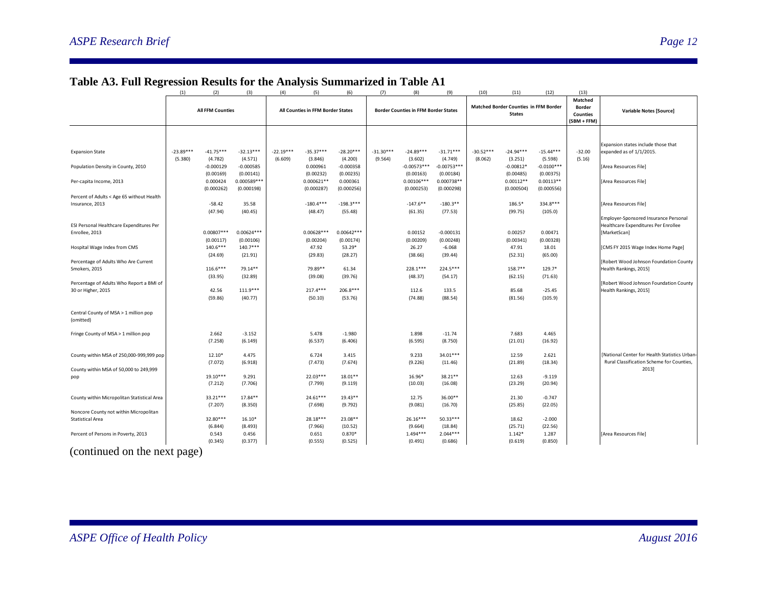|                                                                   | (1)                     | (2)                   | (3)                 | (4)                               | (5)              | (6)                 | (7)         | (8)                                         | (9)                 | (10)                                         | (11)               | (12)             | (13)                                        |                                               |
|-------------------------------------------------------------------|-------------------------|-----------------------|---------------------|-----------------------------------|------------------|---------------------|-------------|---------------------------------------------|---------------------|----------------------------------------------|--------------------|------------------|---------------------------------------------|-----------------------------------------------|
|                                                                   | <b>All FFM Counties</b> |                       |                     | All Counties in FFM Border States |                  |                     |             | <b>Border Counties in FFM Border States</b> |                     | <b>Matched Border Counties in FFM Border</b> |                    |                  | Matched<br><b>Border</b><br><b>Counties</b> | <b>Variable Notes [Source]</b>                |
|                                                                   |                         |                       |                     |                                   |                  |                     |             |                                             |                     |                                              | <b>States</b>      |                  |                                             |                                               |
|                                                                   |                         |                       |                     |                                   |                  |                     |             |                                             |                     |                                              |                    |                  |                                             |                                               |
|                                                                   |                         |                       |                     |                                   |                  |                     |             |                                             |                     |                                              |                    |                  |                                             | Expansion states include those that           |
| <b>Expansion State</b>                                            | $-23.89***$             | $-41.75***$           | $-32.13***$         | $-22.19***$                       | $-35.37***$      | $-28.20***$         | $-31.30***$ | $-24.89***$                                 | $-31.71***$         | $-30.52***$                                  | $-24.94***$        | $-15.44***$      | $-32.00$                                    | expanded as of 1/1/2015.                      |
|                                                                   | (5.380)                 | (4.782)               | (4.571)             | (6.609)                           | (3.846)          | (4.200)             | (9.564)     | (3.602)                                     | (4.749)             | (8.062)                                      | (3.251)            | (5.598)          | (5.16)                                      |                                               |
| Population Density in County, 2010                                |                         | $-0.000129$           | $-0.000585$         |                                   | 0.000961         | $-0.000358$         |             | $-0.00573***$                               | $-0.00753***$       |                                              | $-0.00812*$        | $-0.0100***$     |                                             | [Area Resources File]                         |
|                                                                   |                         | (0.00169)             | (0.00141)           |                                   | (0.00232)        | (0.00235)           |             | (0.00163)                                   | (0.00184)           |                                              | (0.00485)          | (0.00375)        |                                             |                                               |
| Per-capita Income, 2013                                           |                         | 0.000424              | $0.000589***$       |                                   | $0.000621**$     | 0.000361            |             | $0.00106***$                                | 0.000738**          |                                              | $0.00112**$        | $0.00113**$      |                                             | [Area Resources File]                         |
|                                                                   |                         | (0.000262)            | (0.000198)          |                                   | (0.000287)       | (0.000256)          |             | (0.000253)                                  | (0.000298)          |                                              | (0.000504)         | (0.000556)       |                                             |                                               |
| Percent of Adults < Age 65 without Health                         |                         |                       |                     |                                   |                  |                     |             |                                             |                     |                                              |                    |                  |                                             |                                               |
| Insurance, 2013                                                   |                         | $-58.42$              | 35.58               |                                   | $-180.4***$      | $-198.3***$         |             | $-147.6***$                                 | $-180.3**$          |                                              | 186.5*             | 334.8***         |                                             | [Area Resources File]                         |
|                                                                   |                         | (47.94)               | (40.45)             |                                   | (48.47)          | (55.48)             |             | (61.35)                                     | (77.53)             |                                              | (99.75)            | (105.0)          |                                             |                                               |
|                                                                   |                         |                       |                     |                                   |                  |                     |             |                                             |                     |                                              |                    |                  |                                             | Employer-Sponsored Insurance Personal         |
| ESI Personal Healthcare Expenditures Per                          |                         | $0.00807***$          | $0.00624***$        |                                   | $0.00628***$     | $0.00642***$        |             |                                             | $-0.000131$         |                                              | 0.00257            | 0.00471          |                                             | Healthcare Expenditures Per Enrollee          |
| Enrollee, 2013                                                    |                         |                       | (0.00106)           |                                   | (0.00204)        |                     |             | 0.00152<br>(0.00209)                        | (0.00248)           |                                              |                    | (0.00328)        |                                             | [MarketScan]                                  |
| Hospital Wage Index from CMS                                      |                         | (0.00117)<br>140.6*** | $140.7***$          |                                   | 47.92            | (0.00174)<br>53.29* |             | 26.27                                       | $-6.068$            |                                              | (0.00341)<br>47.91 | 18.01            |                                             | [CMS FY 2015 Wage Index Home Page]            |
|                                                                   |                         | (24.69)               | (21.91)             |                                   | (29.83)          | (28.27)             |             | (38.66)                                     | (39.44)             |                                              | (52.31)            | (65.00)          |                                             |                                               |
| Percentage of Adults Who Are Current                              |                         |                       |                     |                                   |                  |                     |             |                                             |                     |                                              |                    |                  |                                             | [Robert Wood Johnson Foundation County        |
| Smokers, 2015                                                     |                         | $116.6***$            | 79.14**             |                                   | 79.89**          | 61.34               |             | 228.1***                                    | 224.5***            |                                              | 158.7**            | 129.7*           |                                             | Health Rankings, 2015]                        |
|                                                                   |                         | (33.95)               | (32.89)             |                                   | (39.08)          | (39.76)             |             | (48.37)                                     | (54.17)             |                                              | (62.15)            | (71.63)          |                                             |                                               |
| Percentage of Adults Who Report a BMI of                          |                         |                       |                     |                                   |                  |                     |             |                                             |                     |                                              |                    |                  |                                             | [Robert Wood Johnson Foundation County        |
| 30 or Higher, 2015                                                |                         | 42.56                 | $111.9***$          |                                   | 217.4***         | $206.8***$          |             | 112.6                                       | 133.5               |                                              | 85.68              | $-25.45$         |                                             | Health Rankings, 2015]                        |
|                                                                   |                         | (59.86)               | (40.77)             |                                   | (50.10)          | (53.76)             |             | (74.88)                                     | (88.54)             |                                              | (81.56)            | (105.9)          |                                             |                                               |
|                                                                   |                         |                       |                     |                                   |                  |                     |             |                                             |                     |                                              |                    |                  |                                             |                                               |
| Central County of MSA > 1 million pop<br>(omitted)                |                         |                       |                     |                                   |                  |                     |             |                                             |                     |                                              |                    |                  |                                             |                                               |
|                                                                   |                         |                       |                     |                                   |                  |                     |             |                                             |                     |                                              |                    |                  |                                             |                                               |
| Fringe County of MSA > 1 million pop                              |                         | 2.662<br>(7.258)      | $-3.152$<br>(6.149) |                                   | 5.478<br>(6.537) | $-1.980$<br>(6.406) |             | 1.898<br>(6.595)                            | $-11.74$<br>(8.750) |                                              | 7.683<br>(21.01)   | 4.465<br>(16.92) |                                             |                                               |
|                                                                   |                         |                       |                     |                                   |                  |                     |             |                                             |                     |                                              |                    |                  |                                             |                                               |
| County within MSA of 250,000-999,999 pop                          |                         | $12.10*$              | 4.475               |                                   | 6.724            | 3.415               |             | 9.233                                       | 34.01***            |                                              | 12.59              | 2.621            |                                             | [National Center for Health Statistics Urban- |
|                                                                   |                         | (7.072)               | (6.918)             |                                   | (7.473)          | (7.674)             |             | (9.226)                                     | (11.46)             |                                              | (21.89)            | (18.34)          |                                             | Rural Classification Scheme for Counties,     |
| County within MSA of 50,000 to 249,999                            |                         |                       |                     |                                   |                  |                     |             |                                             |                     |                                              |                    |                  |                                             | 2013]                                         |
| pop                                                               |                         | 19.10***              | 9.291               |                                   | 22.03***         | $18.01**$           |             | 16.96*                                      | 38.21**             |                                              | 12.63              | $-9.119$         |                                             |                                               |
|                                                                   |                         | (7.212)               | (7.706)             |                                   | (7.799)          | (9.119)             |             | (10.03)                                     | (16.08)             |                                              | (23.29)            | (20.94)          |                                             |                                               |
|                                                                   |                         |                       |                     |                                   |                  |                     |             |                                             |                     |                                              |                    |                  |                                             |                                               |
| County within Micropolitan Statistical Area                       |                         | 33.21***              | 17.84**             |                                   | $24.61***$       | 19.43**             |             | 12.75                                       | 36.00**             |                                              | 21.30              | $-0.747$         |                                             |                                               |
|                                                                   |                         | (7.207)               | (8.350)             |                                   | (7.698)          | (9.792)             |             | (9.081)                                     | (16.70)             |                                              | (25.85)            | (22.05)          |                                             |                                               |
| Noncore County not within Micropolitan<br><b>Statistical Area</b> |                         | 32.80***              | $16.10*$            |                                   | 28.18***         | 23.08**             |             | $26.16***$                                  | $50.33***$          |                                              | 18.62              | $-2.000$         |                                             |                                               |
|                                                                   |                         | (6.844)               | (8.493)             |                                   | (7.966)          | (10.52)             |             | (9.664)                                     | (18.84)             |                                              | (25.71)            | (22.56)          |                                             |                                               |
| Percent of Persons in Poverty, 2013                               |                         | 0.543                 | 0.456               |                                   | 0.651            | $0.870*$            |             | $1.494***$                                  | $2.044***$          |                                              | $1.142*$           | 1.287            |                                             | [Area Resources File]                         |
|                                                                   |                         | (0.345)               | (0.377)             |                                   | (0.555)          | (0.525)             |             | (0.491)                                     | (0.686)             |                                              | (0.619)            | (0.850)          |                                             |                                               |

# **Table A3. Full Regression Results for the Analysis Summarized in Table A1**

(continued on the next page)